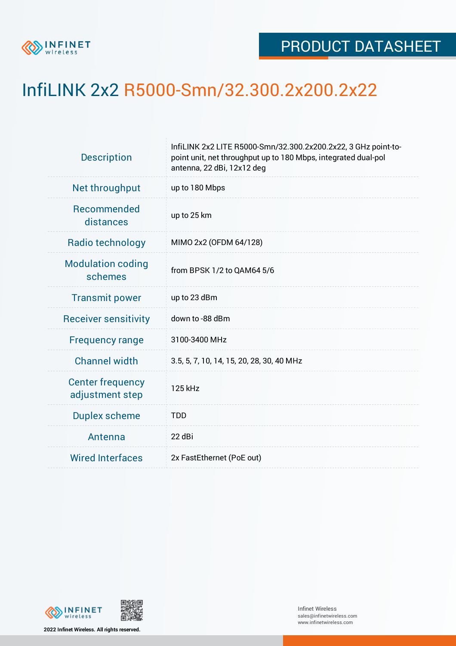

## InfiLINK 2x2 R5000-Smn/32.300.2x200.2x22

| <b>Description</b>                         | InfiLINK 2x2 LITE R5000-Smn/32.300.2x200.2x22, 3 GHz point-to-<br>point unit, net throughput up to 180 Mbps, integrated dual-pol<br>antenna, 22 dBi, 12x12 deg |  |  |  |  |
|--------------------------------------------|----------------------------------------------------------------------------------------------------------------------------------------------------------------|--|--|--|--|
| Net throughput                             | up to 180 Mbps                                                                                                                                                 |  |  |  |  |
| Recommended<br>distances                   | up to 25 km                                                                                                                                                    |  |  |  |  |
| Radio technology                           | MIMO 2x2 (OFDM 64/128)                                                                                                                                         |  |  |  |  |
| <b>Modulation coding</b><br>schemes        | from BPSK 1/2 to QAM64 5/6                                                                                                                                     |  |  |  |  |
| <b>Transmit power</b>                      | up to 23 dBm                                                                                                                                                   |  |  |  |  |
| <b>Receiver sensitivity</b>                | down to -88 dBm                                                                                                                                                |  |  |  |  |
| <b>Frequency range</b>                     | 3100-3400 MHz                                                                                                                                                  |  |  |  |  |
| <b>Channel width</b>                       | 3.5, 5, 7, 10, 14, 15, 20, 28, 30, 40 MHz                                                                                                                      |  |  |  |  |
| <b>Center frequency</b><br>adjustment step | 125 kHz                                                                                                                                                        |  |  |  |  |
| <b>Duplex scheme</b>                       | <b>TDD</b>                                                                                                                                                     |  |  |  |  |
| Antenna                                    | 22 dBi                                                                                                                                                         |  |  |  |  |
| <b>Wired Interfaces</b>                    | 2x FastEthernet (PoE out)                                                                                                                                      |  |  |  |  |



**2022 Infinet Wireless. All rights reserved.**

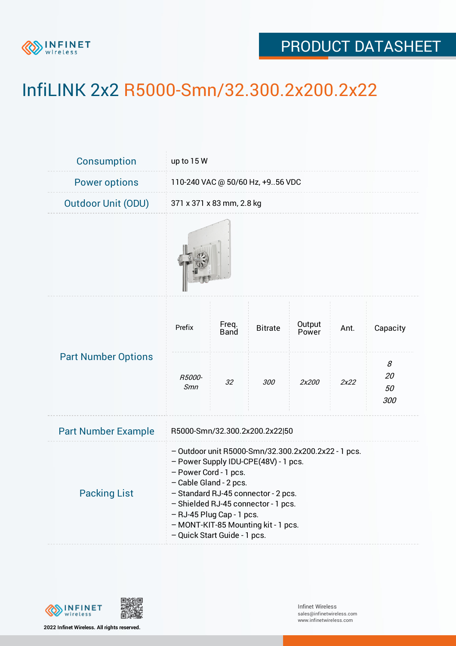

## PRODUCT DATASHEET

## InfiLINK 2x2 R5000-Smn/32.300.2x200.2x22

| <b>Consumption</b>         | up to 15 W                                                                                                                                                                                                                                                                                                                       |               |                |                 |      |                             |  |  |
|----------------------------|----------------------------------------------------------------------------------------------------------------------------------------------------------------------------------------------------------------------------------------------------------------------------------------------------------------------------------|---------------|----------------|-----------------|------|-----------------------------|--|--|
| <b>Power options</b>       | 110-240 VAC @ 50/60 Hz, +956 VDC                                                                                                                                                                                                                                                                                                 |               |                |                 |      |                             |  |  |
| <b>Outdoor Unit (ODU)</b>  | 371 x 371 x 83 mm, 2.8 kg                                                                                                                                                                                                                                                                                                        |               |                |                 |      |                             |  |  |
|                            |                                                                                                                                                                                                                                                                                                                                  |               |                |                 |      |                             |  |  |
| <b>Part Number Options</b> | Prefix                                                                                                                                                                                                                                                                                                                           | Freq.<br>Band | <b>Bitrate</b> | Output<br>Power | Ant. | Capacity                    |  |  |
|                            | R5000-<br>Smn                                                                                                                                                                                                                                                                                                                    | 32            | 300            | 2x200           | 2x22 | 8<br><i>20</i><br>50<br>300 |  |  |
| <b>Part Number Example</b> | R5000-Smn/32.300.2x200.2x22 50                                                                                                                                                                                                                                                                                                   |               |                |                 |      |                             |  |  |
| <b>Packing List</b>        | - Outdoor unit R5000-Smn/32.300.2x200.2x22 - 1 pcs.<br>- Power Supply IDU-CPE(48V) - 1 pcs.<br>- Power Cord - 1 pcs.<br>- Cable Gland - 2 pcs.<br>- Standard RJ-45 connector - 2 pcs.<br>- Shielded RJ-45 connector - 1 pcs.<br>- RJ-45 Plug Cap - 1 pcs.<br>- MONT-KIT-85 Mounting kit - 1 pcs.<br>- Quick Start Guide - 1 pcs. |               |                |                 |      |                             |  |  |



**2022 Infinet Wireless. All rights reserved.**

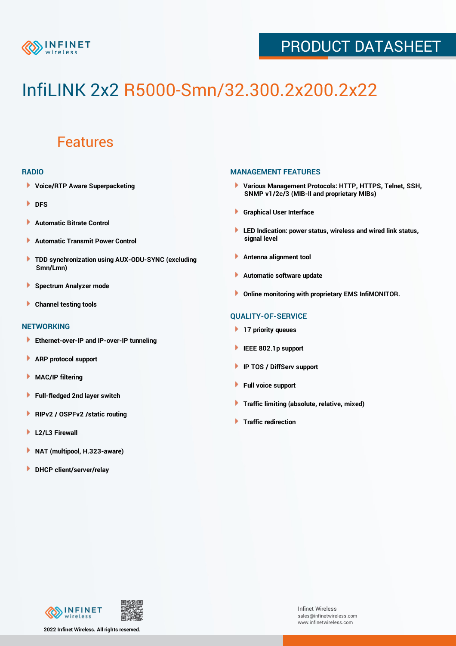

### PRODUCT DATASHEET

# InfiLINK 2x2 R5000-Smn/32.300.2x200.2x22

### Features

#### **RADIO**

- **Voice/RTP Aware Superpacketing**
- **DFS**
- **Automatic Bitrate Control** Þ
- Þ **Automatic Transmit Power Control**
- ь **TDD synchronization using AUX-ODU-SYNC (excluding Smn/Lmn)**
- **Spectrum Analyzer mode** ۰
- **Channel testing tools** ١

#### **NETWORKING**

- **Ethernet-over-IP and IP-over-IP tunneling**
- Þ **ARP protocol support**
- ۱ **MAC/IP filtering**
- Þ **Full-fledged 2nd layer switch**
- Þ **RIPv2 / OSPFv2 /static routing**
- **L2/L3 Firewall** Þ
- **NAT (multipool, H.323-aware)** Þ
- Þ **DHCP client/server/relay**

#### **MANAGEMENT FEATURES**

- **Various Management Protocols: HTTP, HTTPS, Telnet, SSH, SNMP v1/2c/3 (MIB-II and proprietary MIBs)**
- **Graphical User Interface**
- **LED Indication: power status, wireless and wired link status, signal level**
- **Antenna alignment tool**
- ٠ **Automatic software update**
- **Online monitoring with proprietary EMS InfiMONITOR.**

#### **QUALITY-OF-SERVICE**

- **17 priority queues**
- **IEEE 802.1p support**
- **IP TOS / DiffServ support**
- ٠ **Full voice support**
- **Traffic limiting (absolute, relative, mixed)** ٠
- **Traffic redirection**